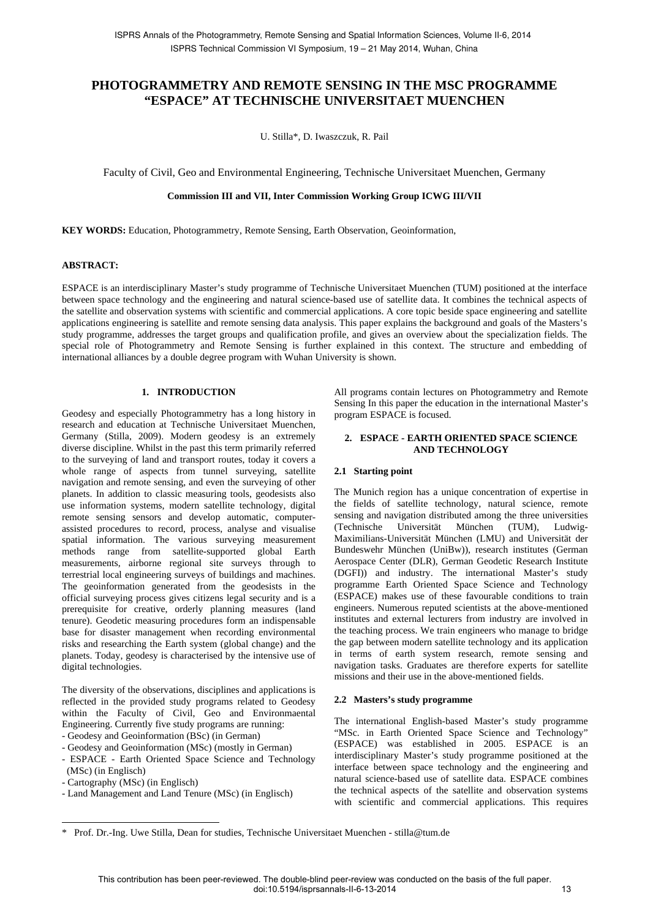# **PHOTOGRAMMETRY AND REMOTE SENSING IN THE MSC PROGRAMME "ESPACE" AT TECHNISCHE UNIVERSITAET MUENCHEN**

U. Stilla\*, D. Iwaszczuk, R. Pail

Faculty of Civil, Geo and Environmental Engineering, Technische Universitaet Muenchen, Germany

## **Commission III and VII, Inter Commission Working Group ICWG III/VII**

**KEY WORDS:** Education, Photogrammetry, Remote Sensing, Earth Observation, Geoinformation,

#### **ABSTRACT:**

ESPACE is an interdisciplinary Master's study programme of Technische Universitaet Muenchen (TUM) positioned at the interface between space technology and the engineering and natural science-based use of satellite data. It combines the technical aspects of the satellite and observation systems with scientific and commercial applications. A core topic beside space engineering and satellite applications engineering is satellite and remote sensing data analysis. This paper explains the background and goals of the Masters's study programme, addresses the target groups and qualification profile, and gives an overview about the specialization fields. The special role of Photogrammetry and Remote Sensing is further explained in this context. The structure and embedding of international alliances by a double degree program with Wuhan University is shown.

#### **1. INTRODUCTION**

Geodesy and especially Photogrammetry has a long history in research and education at Technische Universitaet Muenchen, Germany (Stilla, 2009). Modern geodesy is an extremely diverse discipline. Whilst in the past this term primarily referred to the surveying of land and transport routes, today it covers a whole range of aspects from tunnel surveying, satellite navigation and remote sensing, and even the surveying of other planets. In addition to classic measuring tools, geodesists also use information systems, modern satellite technology, digital remote sensing sensors and develop automatic, computerassisted procedures to record, process, analyse and visualise spatial information. The various surveying measurement methods range from satellite-supported global Earth measurements, airborne regional site surveys through to terrestrial local engineering surveys of buildings and machines. The geoinformation generated from the geodesists in the official surveying process gives citizens legal security and is a prerequisite for creative, orderly planning measures (land tenure). Geodetic measuring procedures form an indispensable base for disaster management when recording environmental risks and researching the Earth system (global change) and the planets. Today, geodesy is characterised by the intensive use of digital technologies.

The diversity of the observations, disciplines and applications is reflected in the provided study programs related to Geodesy within the Faculty of Civil, Geo and Environmaental Engineering. Currently five study programs are running:

- Geodesy and Geoinformation (BSc) (in German)
- Geodesy and Geoinformation (MSc) (mostly in German)
- ESPACE Earth Oriented Space Science and Technology
- (MSc) (in Englisch)

 $\overline{a}$ 

- Cartography (MSc) (in Englisch)
- Land Management and Land Tenure (MSc) (in Englisch)

All programs contain lectures on Photogrammetry and Remote Sensing In this paper the education in the international Master's program ESPACE is focused.

### **2. ESPACE - EARTH ORIENTED SPACE SCIENCE AND TECHNOLOGY**

#### **2.1 Starting point**

The Munich region has a unique concentration of expertise in the fields of satellite technology, natural science, remote sensing and navigation distributed among the three universities (Technische Universität München (TUM), Ludwig-Maximilians-Universität München (LMU) and Universität der Bundeswehr München (UniBw)), research institutes (German Aerospace Center (DLR), German Geodetic Research Institute (DGFI)) and industry. The international Master's study programme Earth Oriented Space Science and Technology (ESPACE) makes use of these favourable conditions to train engineers. Numerous reputed scientists at the above-mentioned institutes and external lecturers from industry are involved in the teaching process. We train engineers who manage to bridge the gap between modern satellite technology and its application in terms of earth system research, remote sensing and navigation tasks. Graduates are therefore experts for satellite missions and their use in the above-mentioned fields.

#### **2.2 Masters's study programme**

The international English-based Master's study programme "MSc. in Earth Oriented Space Science and Technology" (ESPACE) was established in 2005. ESPACE is an interdisciplinary Master's study programme positioned at the interface between space technology and the engineering and natural science-based use of satellite data. ESPACE combines the technical aspects of the satellite and observation systems with scientific and commercial applications. This requires

<sup>\*</sup> Prof. Dr.-Ing. Uwe Stilla, Dean for studies, Technische Universitaet Muenchen - stilla@tum.de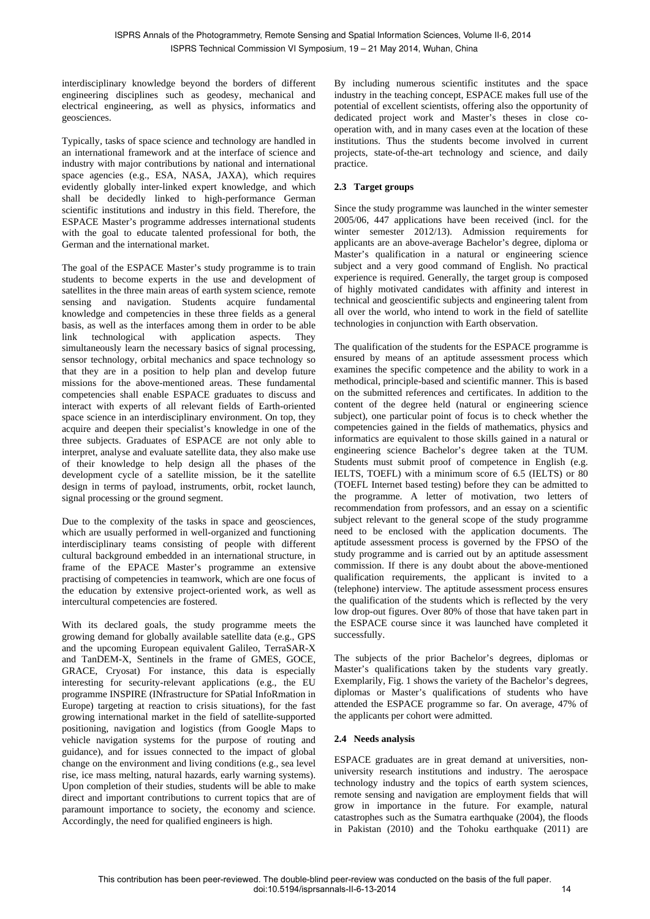interdisciplinary knowledge beyond the borders of different engineering disciplines such as geodesy, mechanical and electrical engineering, as well as physics, informatics and geosciences.

Typically, tasks of space science and technology are handled in an international framework and at the interface of science and industry with major contributions by national and international space agencies (e.g., ESA, NASA, JAXA), which requires evidently globally inter-linked expert knowledge, and which shall be decidedly linked to high-performance German scientific institutions and industry in this field. Therefore, the ESPACE Master's programme addresses international students with the goal to educate talented professional for both, the German and the international market.

The goal of the ESPACE Master's study programme is to train students to become experts in the use and development of satellites in the three main areas of earth system science, remote sensing and navigation. Students acquire fundamental knowledge and competencies in these three fields as a general basis, as well as the interfaces among them in order to be able link technological with application aspects. They simultaneously learn the necessary basics of signal processing, sensor technology, orbital mechanics and space technology so that they are in a position to help plan and develop future missions for the above-mentioned areas. These fundamental competencies shall enable ESPACE graduates to discuss and interact with experts of all relevant fields of Earth-oriented space science in an interdisciplinary environment. On top, they acquire and deepen their specialist's knowledge in one of the three subjects. Graduates of ESPACE are not only able to interpret, analyse and evaluate satellite data, they also make use of their knowledge to help design all the phases of the development cycle of a satellite mission, be it the satellite design in terms of payload, instruments, orbit, rocket launch, signal processing or the ground segment.

Due to the complexity of the tasks in space and geosciences, which are usually performed in well-organized and functioning interdisciplinary teams consisting of people with different cultural background embedded in an international structure, in frame of the EPACE Master's programme an extensive practising of competencies in teamwork, which are one focus of the education by extensive project-oriented work, as well as intercultural competencies are fostered.

With its declared goals, the study programme meets the growing demand for globally available satellite data (e.g., GPS and the upcoming European equivalent Galileo, TerraSAR-X and TanDEM-X, Sentinels in the frame of GMES, GOCE, GRACE, Cryosat) For instance, this data is especially interesting for security-relevant applications (e.g., the EU programme INSPIRE (INfrastructure for SPatial InfoRmation in Europe) targeting at reaction to crisis situations), for the fast growing international market in the field of satellite-supported positioning, navigation and logistics (from Google Maps to vehicle navigation systems for the purpose of routing and guidance), and for issues connected to the impact of global change on the environment and living conditions (e.g., sea level rise, ice mass melting, natural hazards, early warning systems). Upon completion of their studies, students will be able to make direct and important contributions to current topics that are of paramount importance to society, the economy and science. Accordingly, the need for qualified engineers is high.

By including numerous scientific institutes and the space industry in the teaching concept, ESPACE makes full use of the potential of excellent scientists, offering also the opportunity of dedicated project work and Master's theses in close cooperation with, and in many cases even at the location of these institutions. Thus the students become involved in current projects, state-of-the-art technology and science, and daily practice.

## **2.3 Target groups**

Since the study programme was launched in the winter semester 2005/06, 447 applications have been received (incl. for the winter semester 2012/13). Admission requirements for applicants are an above-average Bachelor's degree, diploma or Master's qualification in a natural or engineering science subject and a very good command of English. No practical experience is required. Generally, the target group is composed of highly motivated candidates with affinity and interest in technical and geoscientific subjects and engineering talent from all over the world, who intend to work in the field of satellite technologies in conjunction with Earth observation.

The qualification of the students for the ESPACE programme is ensured by means of an aptitude assessment process which examines the specific competence and the ability to work in a methodical, principle-based and scientific manner. This is based on the submitted references and certificates. In addition to the content of the degree held (natural or engineering science subject), one particular point of focus is to check whether the competencies gained in the fields of mathematics, physics and informatics are equivalent to those skills gained in a natural or engineering science Bachelor's degree taken at the TUM. Students must submit proof of competence in English (e.g. IELTS, TOEFL) with a minimum score of 6.5 (IELTS) or 80 (TOEFL Internet based testing) before they can be admitted to the programme. A letter of motivation, two letters of recommendation from professors, and an essay on a scientific subject relevant to the general scope of the study programme need to be enclosed with the application documents. The aptitude assessment process is governed by the FPSO of the study programme and is carried out by an aptitude assessment commission. If there is any doubt about the above-mentioned qualification requirements, the applicant is invited to a (telephone) interview. The aptitude assessment process ensures the qualification of the students which is reflected by the very low drop-out figures. Over 80% of those that have taken part in the ESPACE course since it was launched have completed it successfully.

The subjects of the prior Bachelor's degrees, diplomas or Master's qualifications taken by the students vary greatly. Exemplarily, Fig. 1 shows the variety of the Bachelor's degrees, diplomas or Master's qualifications of students who have attended the ESPACE programme so far. On average, 47% of the applicants per cohort were admitted.

### **2.4 Needs analysis**

ESPACE graduates are in great demand at universities, nonuniversity research institutions and industry. The aerospace technology industry and the topics of earth system sciences, remote sensing and navigation are employment fields that will grow in importance in the future. For example, natural catastrophes such as the Sumatra earthquake (2004), the floods in Pakistan (2010) and the Tohoku earthquake (2011) are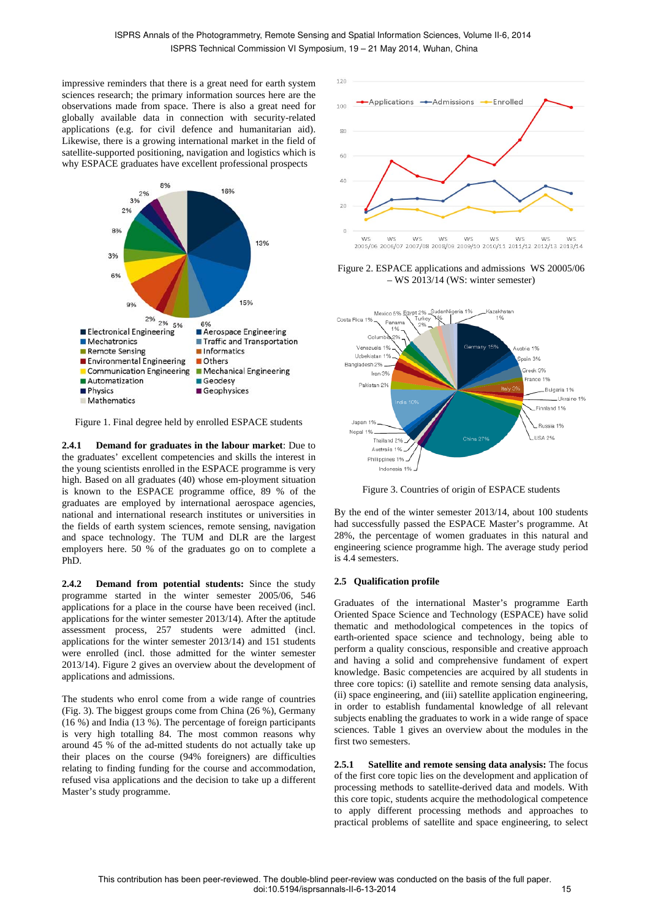impressive reminders that there is a great need for earth system sciences research; the primary information sources here are the observations made from space. There is also a great need for globally available data in connection with security-related applications (e.g. for civil defence and humanitarian aid). Likewise, there is a growing international market in the field of satellite-supported positioning, navigation and logistics which is why ESPACE graduates have excellent professional prospects



Figure 1. Final degree held by enrolled ESPACE students

**2.4.1 Demand for graduates in the labour market**: Due to the graduates' excellent competencies and skills the interest in the young scientists enrolled in the ESPACE programme is very high. Based on all graduates (40) whose em-ployment situation is known to the ESPACE programme office, 89 % of the graduates are employed by international aerospace agencies, national and international research institutes or universities in the fields of earth system sciences, remote sensing, navigation and space technology. The TUM and DLR are the largest employers here. 50 % of the graduates go on to complete a PhD.

**2.4.2 Demand from potential students:** Since the study programme started in the winter semester 2005/06, 546 applications for a place in the course have been received (incl. applications for the winter semester 2013/14). After the aptitude assessment process, 257 students were admitted (incl. applications for the winter semester 2013/14) and 151 students were enrolled (incl. those admitted for the winter semester 2013/14). Figure 2 gives an overview about the development of applications and admissions.

The students who enrol come from a wide range of countries (Fig. 3). The biggest groups come from China (26 %), Germany (16 %) and India (13 %). The percentage of foreign participants is very high totalling 84. The most common reasons why around 45 % of the ad-mitted students do not actually take up their places on the course (94% foreigners) are difficulties relating to finding funding for the course and accommodation, refused visa applications and the decision to take up a different Master's study programme.



Figure 2. ESPACE applications and admissions WS 20005/06 – WS 2013/14 (WS: winter semester)



Figure 3. Countries of origin of ESPACE students

By the end of the winter semester 2013/14, about 100 students had successfully passed the ESPACE Master's programme. At 28%, the percentage of women graduates in this natural and engineering science programme high. The average study period is 4.4 semesters.

## **2.5 Qualification profile**

Graduates of the international Master's programme Earth Oriented Space Science and Technology (ESPACE) have solid thematic and methodological competences in the topics of earth-oriented space science and technology, being able to perform a quality conscious, responsible and creative approach and having a solid and comprehensive fundament of expert knowledge. Basic competencies are acquired by all students in three core topics: (i) satellite and remote sensing data analysis, (ii) space engineering, and (iii) satellite application engineering, in order to establish fundamental knowledge of all relevant subjects enabling the graduates to work in a wide range of space sciences. Table 1 gives an overview about the modules in the first two semesters.

**2.5.1 Satellite and remote sensing data analysis:** The focus of the first core topic lies on the development and application of processing methods to satellite-derived data and models. With this core topic, students acquire the methodological competence to apply different processing methods and approaches to practical problems of satellite and space engineering, to select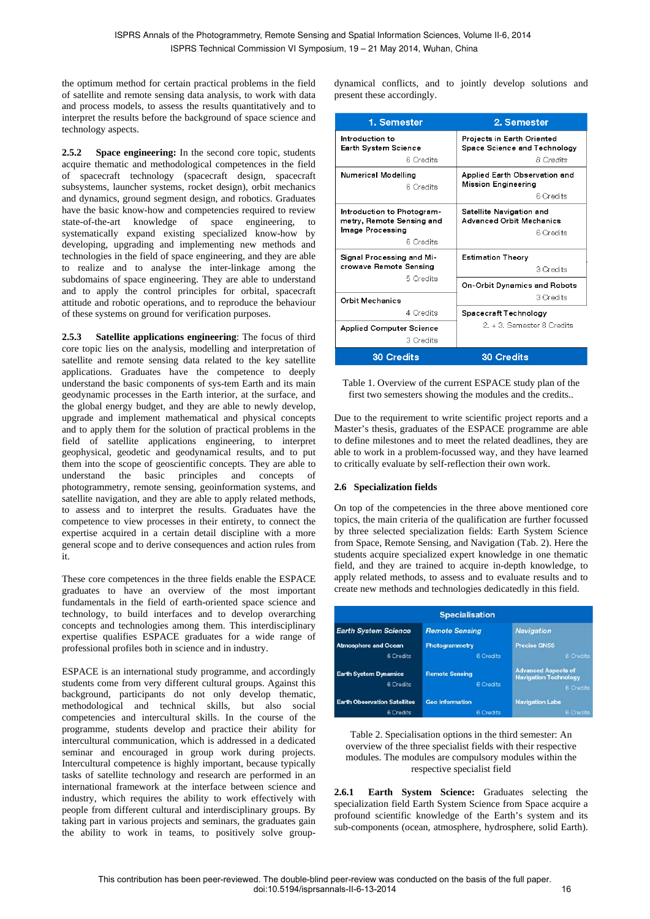the optimum method for certain practical problems in the field of satellite and remote sensing data analysis, to work with data and process models, to assess the results quantitatively and to interpret the results before the background of space science and technology aspects.

**2.5.2 Space engineering:** In the second core topic, students acquire thematic and methodological competences in the field of spacecraft technology (spacecraft design, spacecraft subsystems, launcher systems, rocket design), orbit mechanics and dynamics, ground segment design, and robotics. Graduates have the basic know-how and competencies required to review state-of-the-art knowledge of space engineering, to systematically expand existing specialized know-how by developing, upgrading and implementing new methods and technologies in the field of space engineering, and they are able to realize and to analyse the inter-linkage among the subdomains of space engineering. They are able to understand and to apply the control principles for orbital, spacecraft attitude and robotic operations, and to reproduce the behaviour of these systems on ground for verification purposes.

**2.5.3 Satellite applications engineering**: The focus of third core topic lies on the analysis, modelling and interpretation of satellite and remote sensing data related to the key satellite applications. Graduates have the competence to deeply understand the basic components of sys-tem Earth and its main geodynamic processes in the Earth interior, at the surface, and the global energy budget, and they are able to newly develop, upgrade and implement mathematical and physical concepts and to apply them for the solution of practical problems in the field of satellite applications engineering, to interpret geophysical, geodetic and geodynamical results, and to put them into the scope of geoscientific concepts. They are able to understand the basic principles and concepts of photogrammetry, remote sensing, geoinformation systems, and satellite navigation, and they are able to apply related methods, to assess and to interpret the results. Graduates have the competence to view processes in their entirety, to connect the expertise acquired in a certain detail discipline with a more general scope and to derive consequences and action rules from it.

These core competences in the three fields enable the ESPACE graduates to have an overview of the most important fundamentals in the field of earth-oriented space science and technology, to build interfaces and to develop overarching concepts and technologies among them. This interdisciplinary expertise qualifies ESPACE graduates for a wide range of professional profiles both in science and in industry.

ESPACE is an international study programme, and accordingly students come from very different cultural groups. Against this background, participants do not only develop thematic, methodological and technical skills, but also social competencies and intercultural skills. In the course of the programme, students develop and practice their ability for intercultural communication, which is addressed in a dedicated seminar and encouraged in group work during projects. Intercultural competence is highly important, because typically tasks of satellite technology and research are performed in an international framework at the interface between science and industry, which requires the ability to work effectively with people from different cultural and interdisciplinary groups. By taking part in various projects and seminars, the graduates gain the ability to work in teams, to positively solve groupdynamical conflicts, and to jointly develop solutions and present these accordingly.

| 1. Semester                                                                                | 2. Semester                                                                    |
|--------------------------------------------------------------------------------------------|--------------------------------------------------------------------------------|
| Introduction to<br>Earth System Science<br>6 Credits                                       | Projects in Earth Oriented<br>Space Science and Technology<br><b>8</b> Credits |
| <b>Numerical Modelling</b><br>6 Credits                                                    | Applied Earth Observation and<br><b>Mission Engineering</b><br>6 Credits       |
| Introduction to Photogram-<br>metry, Remote Sensing and<br>Image Processing<br>6 Credits   | Satellite Navigation and<br><b>Advanced Orbit Mechanics</b><br>6 Credits       |
| Signal Processing and Mi-<br>crowave Remote Sensing<br>5 Credits<br><b>Orbit Mechanics</b> | Estimation Theorv<br>3 Credits                                                 |
|                                                                                            | On-Orbit Dynamics and Robots<br>3 Credits                                      |
| 4 Credits                                                                                  | Spacecraft Technology                                                          |
| Applied Computer Science<br>3 Credits                                                      | 2. + 3. Semester 8 Credits                                                     |
| <b>30 Credits</b>                                                                          | <b>30 Credits</b>                                                              |

Table 1. Overview of the current ESPACE study plan of the first two semesters showing the modules and the credits..

Due to the requirement to write scientific project reports and a Master's thesis, graduates of the ESPACE programme are able to define milestones and to meet the related deadlines, they are able to work in a problem-focussed way, and they have learned to critically evaluate by self-reflection their own work.

## **2.6 Specialization fields**

On top of the competencies in the three above mentioned core topics, the main criteria of the qualification are further focussed by three selected specialization fields: Earth System Science from Space, Remote Sensing, and Navigation (Tab. 2). Here the students acquire specialized expert knowledge in one thematic field, and they are trained to acquire in-depth knowledge, to apply related methods, to assess and to evaluate results and to create new methods and technologies dedicatedly in this field.

| <b>Specialisation</b>                     |                                    |                                                                         |  |  |
|-------------------------------------------|------------------------------------|-------------------------------------------------------------------------|--|--|
| <b>Earth System Science</b>               | <b>Remote Sensing</b>              | <b>Navigation</b>                                                       |  |  |
| <b>Atmosphere and Ocean</b>               | Photogrammetry                     | <b>Precise GNSS</b>                                                     |  |  |
| 6 Credits                                 | 6 Credits                          | 6 Credits                                                               |  |  |
| <b>Earth System Dynamics</b><br>6 Credits | <b>Remote Sensing</b><br>6 Credits | <b>Advanced Aspects of</b><br><b>Navigation Technology</b><br>6 Credits |  |  |
| <b>Earth Observation Satellites</b>       | <b>Geo Information</b>             | <b>Navigation Labs</b>                                                  |  |  |
| 6 Credits                                 | 6 Credits                          | 6 Credits                                                               |  |  |

Table 2. Specialisation options in the third semester: An overview of the three specialist fields with their respective modules. The modules are compulsory modules within the respective specialist field

**2.6.1 Earth System Science:** Graduates selecting the specialization field Earth System Science from Space acquire a profound scientific knowledge of the Earth's system and its sub-components (ocean, atmosphere, hydrosphere, solid Earth).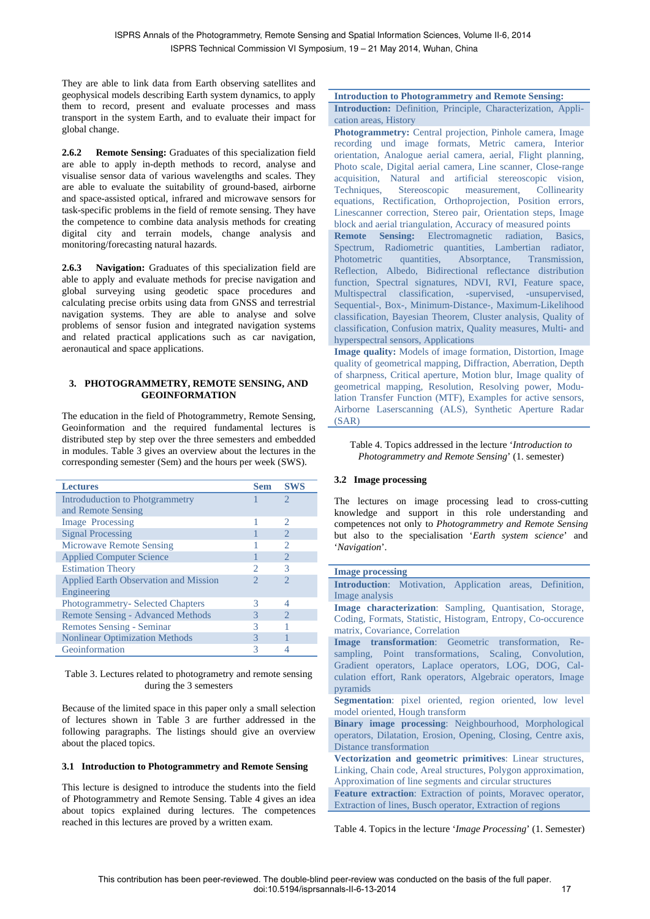They are able to link data from Earth observing satellites and geophysical models describing Earth system dynamics, to apply them to record, present and evaluate processes and mass transport in the system Earth, and to evaluate their impact for global change.

**2.6.2 Remote Sensing:** Graduates of this specialization field are able to apply in-depth methods to record, analyse and visualise sensor data of various wavelengths and scales. They are able to evaluate the suitability of ground-based, airborne and space-assisted optical, infrared and microwave sensors for task-specific problems in the field of remote sensing. They have the competence to combine data analysis methods for creating digital city and terrain models, change analysis and monitoring/forecasting natural hazards.

**2.6.3 Navigation:** Graduates of this specialization field are able to apply and evaluate methods for precise navigation and global surveying using geodetic space procedures and calculating precise orbits using data from GNSS and terrestrial navigation systems. They are able to analyse and solve problems of sensor fusion and integrated navigation systems and related practical applications such as car navigation, aeronautical and space applications.

## **3. PHOTOGRAMMETRY, REMOTE SENSING, AND GEOINFORMATION**

The education in the field of Photogrammetry, Remote Sensing, Geoinformation and the required fundamental lectures is distributed step by step over the three semesters and embedded in modules. Table 3 gives an overview about the lectures in the corresponding semester (Sem) and the hours per week (SWS).

| <b>Lectures</b>                              | <b>Sem</b> | <b>SWS</b>     |
|----------------------------------------------|------------|----------------|
| Introduduction to Photgrammetry              |            | 2              |
| and Remote Sensing                           |            |                |
| <b>Image Processing</b>                      |            | 2              |
| <b>Signal Processing</b>                     |            | $\mathfrak{D}$ |
| <b>Microwave Remote Sensing</b>              |            | っ              |
| <b>Applied Computer Science</b>              |            | $\mathfrak{D}$ |
| <b>Estimation Theory</b>                     |            | 3              |
| <b>Applied Earth Observation and Mission</b> |            | $\mathfrak{D}$ |
| Engineering                                  |            |                |
| <b>Photogrammetry- Selected Chapters</b>     | 3          | 4              |
| <b>Remote Sensing - Advanced Methods</b>     | 3          | っ              |
| <b>Remotes Sensing - Seminar</b>             |            |                |
| <b>Nonlinear Optimization Methods</b>        |            |                |
| Geoinformation                               |            |                |

#### Table 3. Lectures related to photogrametry and remote sensing during the 3 semesters

Because of the limited space in this paper only a small selection of lectures shown in Table 3 are further addressed in the following paragraphs. The listings should give an overview about the placed topics.

### **3.1 Introduction to Photogrammetry and Remote Sensing**

This lecture is designed to introduce the students into the field of Photogrammetry and Remote Sensing. Table 4 gives an idea about topics explained during lectures. The competences reached in this lectures are proved by a written exam.

## **Introduction to Photogrammetry and Remote Sensing: Introduction:** Definition, Principle, Characterization, Appli-

cation areas, History

**Photogrammetry:** Central projection, Pinhole camera, Image recording und image formats, Metric camera, Interior orientation, Analogue aerial camera, aerial, Flight planning, Photo scale, Digital aerial camera, Line scanner, Close-range acquisition, Natural and artificial stereoscopic vision, Techniques, Stereoscopic measurement, Collinearity equations, Rectification, Orthoprojection, Position errors, Linescanner correction, Stereo pair, Orientation steps, Image block and aerial triangulation, Accuracy of measured points

**Remote Sensing:** Electromagnetic radiation, Basics, Spectrum, Radiometric quantities, Lambertian radiator, Photometric quantities, Absorptance, Transmission, Reflection, Albedo, Bidirectional reflectance distribution function, Spectral signatures, NDVI, RVI, Feature space, Multispectral classification, -supervised, -unsupervised, Sequential-, Box-, Minimum-Distance-, Maximum-Likelihood classification, Bayesian Theorem, Cluster analysis, Quality of classification, Confusion matrix, Quality measures, Multi**-** and hyperspectral sensors, Applications

**Image quality:** Models of image formation, Distortion, Image quality of geometrical mapping, Diffraction, Aberration, Depth of sharpness, Critical aperture, Motion blur, Image quality of geometrical mapping, Resolution, Resolving power, Modulation Transfer Function (MTF), Examples for active sensors, Airborne Laserscanning (ALS), Synthetic Aperture Radar (SAR)

#### Table 4. Topics addressed in the lecture '*Introduction to Photogrammetry and Remote Sensing*' (1. semester)

## **3.2 Image processing**

The lectures on image processing lead to cross-cutting knowledge and support in this role understanding and competences not only to *Photogrammetry and Remote Sensing* but also to the specialisation '*Earth system science*' and '*Navigation*'.

**Image processing Introduction**: Motivation, Application areas, Definition, Image analysis **Image characterization**: Sampling, Quantisation, Storage, Coding, Formats, Statistic, Histogram, Entropy, Co-occurence matrix, Covariance, Correlation **Image transformation**: Geometric transformation, Resampling, Point transformations, Scaling, Convolution, Gradient operators, Laplace operators, LOG, DOG, Calculation effort, Rank operators, Algebraic operators, Image pyramids **Segmentation:** pixel oriented, region oriented, low level model oriented, Hough transform **Binary image processing**: Neighbourhood, Morphological operators, Dilatation, Erosion, Opening, Closing, Centre axis, Distance transformation **Vectorization and geometric primitives**: Linear structures, Linking, Chain code, Areal structures, Polygon approximation, Approximation of line segments and circular structures **Feature extraction**: Extraction of points, Moravec operator, Extraction of lines, Busch operator, Extraction of regions

Table 4. Topics in the lecture '*Image Processing*' (1. Semester)